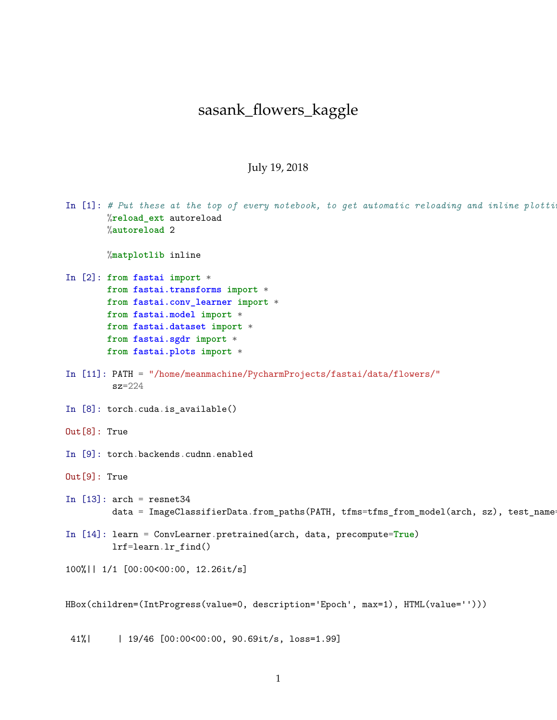## sasank\_flowers\_kaggle

## July 19, 2018

|  | In $[1]$ : # Put these at the top of every notebook, to get automatic reloading and inline plotti:<br>%reload_ext autoreload<br>%autoreload 2                                                                                 |
|--|-------------------------------------------------------------------------------------------------------------------------------------------------------------------------------------------------------------------------------|
|  | %matplotlib inline                                                                                                                                                                                                            |
|  | In [2]: from fastai import *<br>from fastai.transforms import *<br>from fastai.conv_learner import *<br>from fastai.model import *<br>from fastai.dataset import *<br>from fastai.sgdr import *<br>from fastai.plots import * |
|  | In [11]: PATH = "/home/meanmachine/PycharmProjects/fastai/data/flowers/"<br>$sz = 224$                                                                                                                                        |
|  | In $[8]$ : torch.cuda.is_available()                                                                                                                                                                                          |
|  | $Out[8]$ : True                                                                                                                                                                                                               |
|  | In [9]: torch.backends.cudnn.enabled                                                                                                                                                                                          |
|  | $Out[9]$ : True                                                                                                                                                                                                               |
|  | In $[13]$ : $arch = resnet34$<br>data = ImageClassifierData.from_paths(PATH, tfms=tfms_from_model(arch, sz), test_name+                                                                                                       |
|  | In [14]: learn = ConvLearner.pretrained(arch, data, precompute=True)<br>$lrf = learn.lr_find()$                                                                                                                               |
|  | 100%   1/1 [00:00<00:00, 12.26it/s]                                                                                                                                                                                           |
|  | HBox(children=(IntProgress(value=0, description='Epoch', max=1), HTML(value='')))                                                                                                                                             |

41%| | 19/46 [00:00<00:00, 90.69it/s, loss=1.99]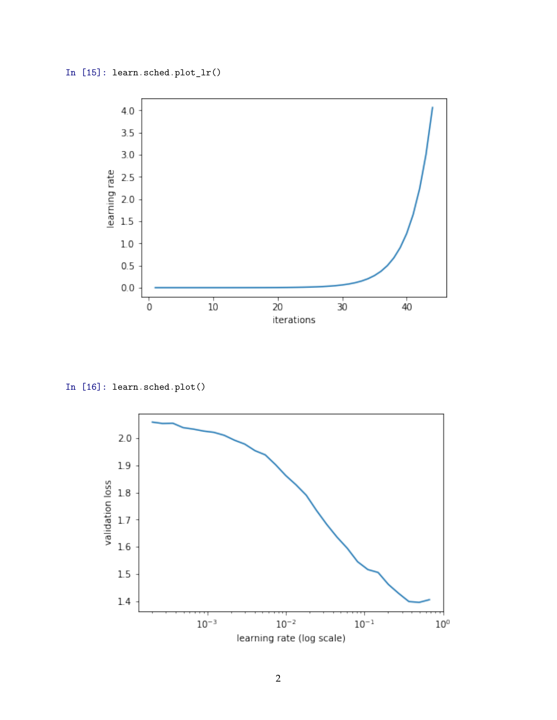

In [16]: learn.sched.plot()

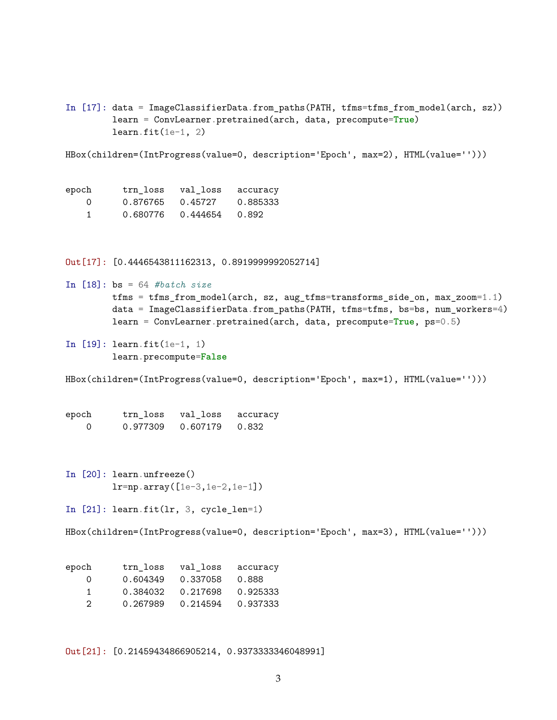In [17]: data = ImageClassifierData.from\_paths(PATH, tfms=tfms\_from\_model(arch, sz)) learn = ConvLearner.pretrained(arch, data, precompute=**True**)  $learn.fit(1e-1, 2)$ 

HBox(children=(IntProgress(value=0, description='Epoch', max=2), HTML(value='')))

| epoch    |                  | trn loss val_loss accuracy |          |
|----------|------------------|----------------------------|----------|
| $\Omega$ | 0.876765 0.45727 |                            | 0.885333 |
|          |                  | 0.680776  0.444654  0.892  |          |

Out[17]: [0.4446543811162313, 0.8919999992052714]

```
In [18]: bs = 64 #batch size
        tfms = tfms_from_model(arch, sz, aug_tfms=transforms_side_on, max_zoom=1.1)
        data = ImageClassifierData.from_paths(PATH, tfms=tfms, bs=bs, num_workers=4)
        learn = ConvLearner.pretrained(arch, data, precompute=True, ps=0.5)
```
In [19]: learn.fit(1e-1, 1) learn.precompute=**False**

HBox(children=(IntProgress(value=0, description='Epoch', max=1), HTML(value='')))

| epoch | trn loss | val loss | accuracy |
|-------|----------|----------|----------|
|       | 0.977309 | 0.607179 | 0.832    |

In [20]: learn.unfreeze() lr=np.array([1e-3,1e-2,1e-1])

In  $[21]$ : learn.fit(lr, 3, cycle\_len=1)

HBox(children=(IntProgress(value=0, description='Epoch', max=3), HTML(value='')))

| epoch            | trn loss | val loss | accuracy |
|------------------|----------|----------|----------|
| $\left( \right)$ | 0.604349 | 0.337058 | 0.888    |
| 1.               | 0.384032 | 0.217698 | 0.925333 |
| 2                | 0.267989 | 0.214594 | 0.937333 |

Out[21]: [0.21459434866905214, 0.9373333346048991]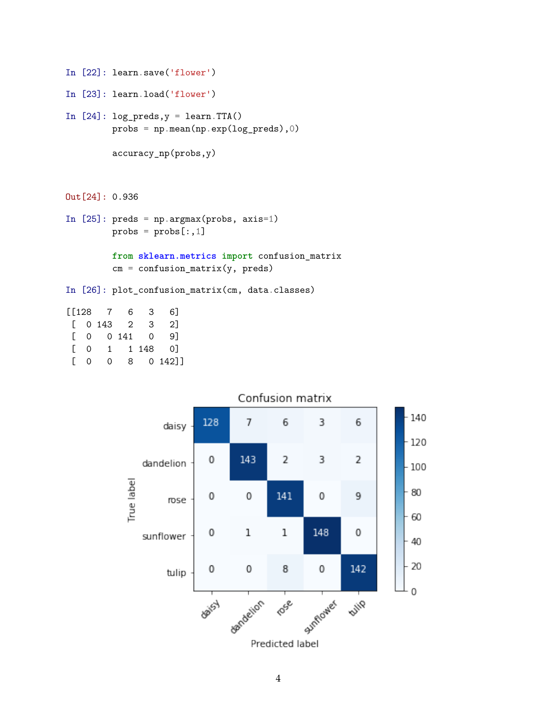```
In [22]: learn.save('flower')
In [23]: learn.load('flower')
In [24]: log_preds, y = learn.TTA()probs = np.mean(np.exp(log_preds),0)
         accuracy_np(probs,y)
```
Out[24]: 0.936

```
In [25]: preds = np.argmax(probs, axis=1)
         probs = probs[:, 1]
```
**from sklearn.metrics import** confusion\_matrix  $cm = \text{confusion_matrix}(y, \text{preds})$ 

In [26]: plot\_confusion\_matrix(cm, data.classes)

| [[128 7      |          |                                               | 6         | 3 | 6 I       |
|--------------|----------|-----------------------------------------------|-----------|---|-----------|
|              |          | $\begin{bmatrix} 0 & 1 & 4 & 3 \end{bmatrix}$ |           | 3 | 21        |
| $\mathbf{L}$ |          |                                               | 0 0 141 0 |   | 91        |
| L            | Ω        | $1 \quad$                                     |           |   | 1 148 0   |
| L            | $\Omega$ | Ω                                             |           |   | 8 0 142]] |
|              |          |                                               |           |   |           |



## Confusion matrix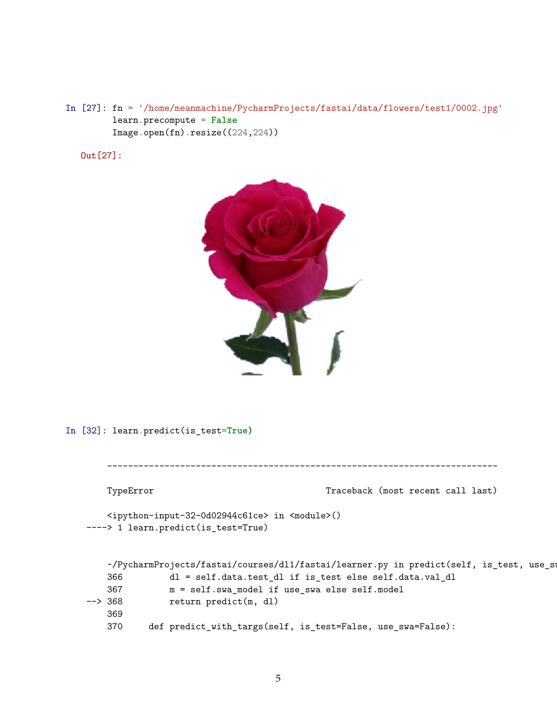In [27]: fn = '/home/meanmachine/PycharmProjects/fastai/data/flowers/test1/0002.jpg' learn.precompute = **False** Image.open(fn).resize((224,224))

Out[27]:



In [32]: learn.predict(is\_test=**True**)